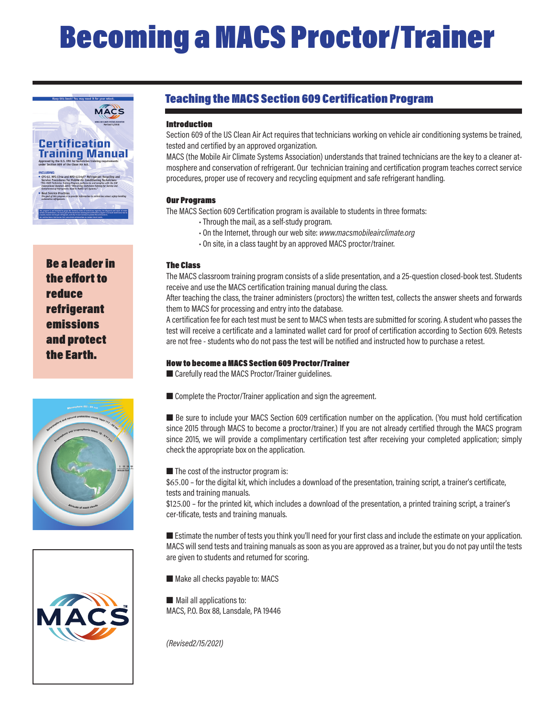# Becoming a MACS Proctor/Trainer



Be a leader in the effort to reduce refrigerant emissions and protect the Earth.





#### Teaching the MACS Section 609 Certification Program

#### Introduction

Section 609 of the US Clean Air Act requires that technicians working on vehicle air conditioning systems be trained, tested and certified by an approved organization.

MACS (the Mobile Air Climate Systems Association) understands that trained technicians are the key to a cleaner atmosphere and conservation of refrigerant. Our technician training and certification program teaches correct service procedures, proper use of recovery and recycling equipment and safe refrigerant handling.

#### Our Programs

The MACS Section 609 Certification program is available to students in three formats:

- Through the mail, as a self-study program.
- On the Internet, through our web site: *www.macsmobileairclimate.org*
- On site, in a class taught by an approved MACS proctor/trainer.

#### The Class

The MACS classroom training program consists of a slide presentation, and a 25-question closed-book test. Students receive and use the MACS certification training manual during the class.

After teaching the class, the trainer administers (proctors) the written test, collects the answer sheets and forwards them to MACS for processing and entry into the database.

A certification fee for each test must be sent to MACS when tests are submitted for scoring. A student who passes the test will receive a certificate and a laminated wallet card for proof of certification according to Section 609. Retests are not free - students who do not pass the test will be notified and instructed how to purchase a retest.

#### How to become a MACS Section 609 Proctor/Trainer

■ Carefully read the MACS Proctor/Trainer quidelines.

 $\blacksquare$  Complete the Proctor/Trainer application and sign the agreement.

■ Be sure to include your MACS Section 609 certification number on the application. (You must hold certification since 2015 through MACS to become a proctor/trainer.) If you are not already certified through the MACS program since 2015, we will provide a complimentary certification test after receiving your completed application; simply check the appropriate box on the application.

 $\blacksquare$  The cost of the instructor program is:

\$65.00 – for the digital kit, which includes a download of the presentation, training script, a trainer's certificate, tests and training manuals.

\$125.00 – for the printed kit, which includes a download of the presentation, a printed training script, a trainer's cer-tificate, tests and training manuals.

■ Estimate the number of tests you think you'll need for your first class and include the estimate on your application. MACS will send tests and training manuals as soon as you are approved as a trainer, but you do not pay until the tests are given to students and returned for scoring.

 $\blacksquare$  Make all checks payable to: MACS

 $\blacksquare$  Mail all applications to: MACS, P.O. Box 88, Lansdale, PA 19446

*(Revised2/15/2021)*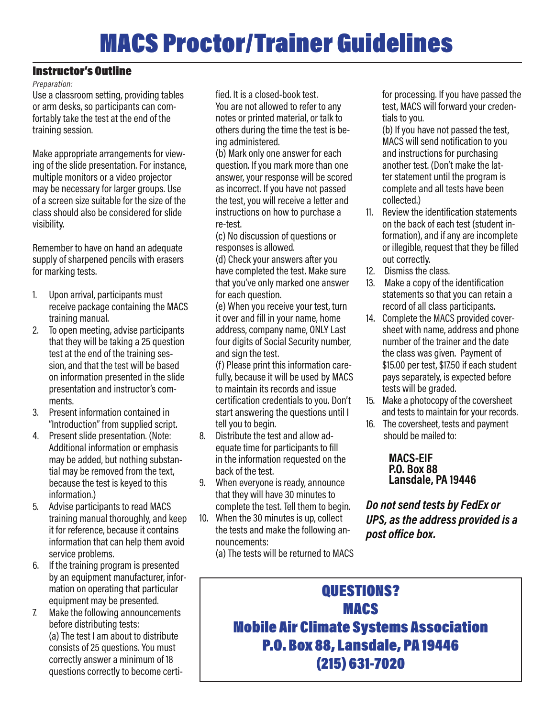## MACS Proctor/Trainer Guidelines

#### Instructor's Outline

#### *Preparation:*

Use a classroom setting, providing tables or arm desks, so participants can comfortably take the test at the end of the training session.

Make appropriate arrangements for viewing of the slide presentation. For instance, multiple monitors or a video projector may be necessary for larger groups. Use of a screen size suitable for the size of the class should also be considered for slide visibility.

Remember to have on hand an adequate supply of sharpened pencils with erasers for marking tests.

- 1. Upon arrival, participants must receive package containing the MACS training manual.
- 2. To open meeting, advise participants that they will be taking a 25 question test at the end of the training session, and that the test will be based on information presented in the slide presentation and instructor's comments.
- 3. Present information contained in "Introduction" from supplied script.
- 4. Present slide presentation. (Note: Additional information or emphasis may be added, but nothing substantial may be removed from the text, because the test is keyed to this information.)
- 5. Advise participants to read MACS training manual thoroughly, and keep it for reference, because it contains information that can help them avoid service problems.
- 6. If the training program is presented by an equipment manufacturer, information on operating that particular equipment may be presented.
- 7. Make the following announcements before distributing tests: (a) The test I am about to distribute consists of 25 questions. You must correctly answer a minimum of 18 questions correctly to become certi-

fied. It is a closed-book test. You are not allowed to refer to any notes or printed material, or talk to others during the time the test is being administered.

(b) Mark only one answer for each question. If you mark more than one answer, your response will be scored as incorrect. If you have not passed the test, you will receive a letter and instructions on how to purchase a re-test.

(c) No discussion of questions or responses is allowed.

(d) Check your answers after you have completed the test. Make sure that you've only marked one answer for each question.

(e) When you receive your test, turn it over and fill in your name, home address, company name, ONLY Last four digits of Social Security number, and sign the test.

(f) Please print this information carefully, because it will be used by MACS to maintain its records and issue certification credentials to you. Don't start answering the questions until I tell you to begin.

- 8. Distribute the test and allow adequate time for participants to fill in the information requested on the back of the test.
- 9. When everyone is ready, announce that they will have 30 minutes to complete the test. Tell them to begin.
- 10. When the 30 minutes is up, collect the tests and make the following announcements:

(a) The tests will be returned to MACS

for processing. If you have passed the test, MACS will forward your credentials to you.

(b) If you have not passed the test, MACS will send notification to you and instructions for purchasing another test. (Don't make the latter statement until the program is complete and all tests have been collected.)

- 11. Review the identification statements on the back of each test (student information), and if any are incomplete or illegible, request that they be filled out correctly.
- 12. Dismiss the class.
- 13. Make a copy of the identification statements so that you can retain a record of all class participants.
- 14. Complete the MACS provided coversheet with name, address and phone number of the trainer and the date the class was given. Payment of \$15.00 per test, \$17.50 if each student pays separately, is expected before tests will be graded.
- 15. Make a photocopy of the coversheet and tests to maintain for your records.
- 16. The coversheet, tests and payment should be mailed to:

#### **MACS-EIF P.O. Box 88 Lansdale, PA 19446**

*Do not send tests by FedEx or UPS, as the address provided is a post office box.*

### QUESTIONS? MACS Mobile Air Climate Systems Association P.O. Box 88, Lansdale, PA 19446 (215) 631-7020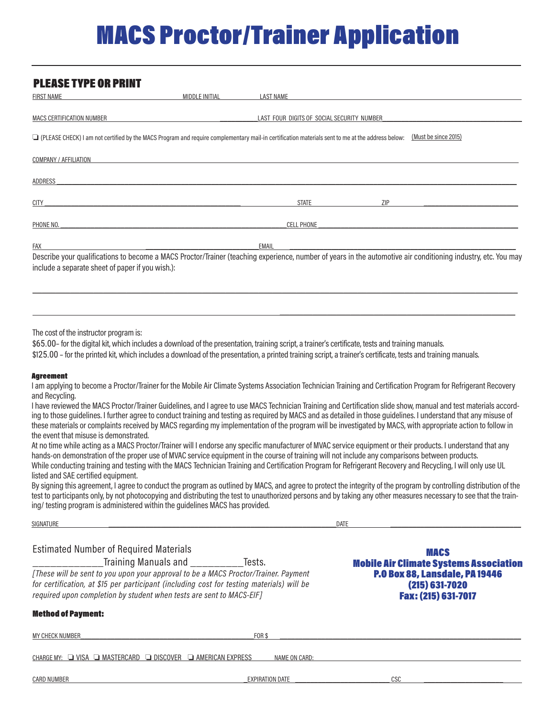## MACS Proctor/Trainer Application

| <b>PLEASE TYPE OR PRINT</b>                                                                                                                                                                                                                                                                                                                                                                                                                                                                                                                                                                                                                                                                                                                                                                                                                                                                                               |                       |                                            |     |                      |
|---------------------------------------------------------------------------------------------------------------------------------------------------------------------------------------------------------------------------------------------------------------------------------------------------------------------------------------------------------------------------------------------------------------------------------------------------------------------------------------------------------------------------------------------------------------------------------------------------------------------------------------------------------------------------------------------------------------------------------------------------------------------------------------------------------------------------------------------------------------------------------------------------------------------------|-----------------------|--------------------------------------------|-----|----------------------|
| <b>FIRST NAME</b>                                                                                                                                                                                                                                                                                                                                                                                                                                                                                                                                                                                                                                                                                                                                                                                                                                                                                                         | <b>MIDDLE INITIAL</b> | <b>LAST NAME</b>                           |     |                      |
| MACS CERTIFICATION NUMBER                                                                                                                                                                                                                                                                                                                                                                                                                                                                                                                                                                                                                                                                                                                                                                                                                                                                                                 |                       | LAST FOUR DIGITS OF SOCIAL SECURITY NUMBER |     |                      |
| Q (PLEASE CHECK) I am not certified by the MACS Program and require complementary mail-in certification materials sent to me at the address below:                                                                                                                                                                                                                                                                                                                                                                                                                                                                                                                                                                                                                                                                                                                                                                        |                       |                                            |     | (Must be since 2015) |
| COMPANY / AFFILIATION                                                                                                                                                                                                                                                                                                                                                                                                                                                                                                                                                                                                                                                                                                                                                                                                                                                                                                     |                       |                                            |     |                      |
| ADDRESS                                                                                                                                                                                                                                                                                                                                                                                                                                                                                                                                                                                                                                                                                                                                                                                                                                                                                                                   |                       |                                            |     |                      |
| <b>CITY</b>                                                                                                                                                                                                                                                                                                                                                                                                                                                                                                                                                                                                                                                                                                                                                                                                                                                                                                               |                       | <b>STATE</b>                               | ZIP |                      |
| PHONE NO.                                                                                                                                                                                                                                                                                                                                                                                                                                                                                                                                                                                                                                                                                                                                                                                                                                                                                                                 |                       | <b>CELL PHONE</b>                          |     |                      |
| FAX<br>Describe your qualifications to become a MACS Proctor/Trainer (teaching experience, number of years in the automotive air conditioning industry, etc. You may<br>include a separate sheet of paper if you wish.):                                                                                                                                                                                                                                                                                                                                                                                                                                                                                                                                                                                                                                                                                                  |                       | EMAIL                                      |     |                      |
| The cost of the instructor program is:<br>\$65.00- for the digital kit, which includes a download of the presentation, training script, a trainer's certificate, tests and training manuals.<br>\$125.00 - for the printed kit, which includes a download of the presentation, a printed training script, a trainer's certificate, tests and training manuals.                                                                                                                                                                                                                                                                                                                                                                                                                                                                                                                                                            |                       |                                            |     |                      |
| <b>Agreement</b><br>I am applying to become a Proctor/Trainer for the Mobile Air Climate Systems Association Technician Training and Certification Program for Refrigerant Recovery<br>and Recycling.<br>I have reviewed the MACS Proctor/Trainer Guidelines, and I agree to use MACS Technician Training and Certification slide show, manual and test materials accord-<br>ing to those guidelines. I further agree to conduct training and testing as required by MACS and as detailed in those guidelines. I understand that any misuse of<br>these materials or complaints received by MACS regarding my implementation of the program will be investigated by MACS, with appropriate action to follow in<br>the event that misuse is demonstrated.<br>At no time while acting as a MACS Proctor/Trainer will I endorse any specific manufacturer of MVAC service equipment or their products. I understand that any |                       |                                            |     |                      |
| hands-on demonstration of the proper use of MVAC service equipment in the course of training will not include any comparisons between products.                                                                                                                                                                                                                                                                                                                                                                                                                                                                                                                                                                                                                                                                                                                                                                           |                       |                                            |     |                      |

While conducting training and testing with the MACS Technician Training and Certification Program for Refrigerant Recovery and Recycling, I will only use UL listed and SAE certified equipment.

By signing this agreement, I agree to conduct the program as outlined by MACS, and agree to protect the integrity of the program by controlling distribution of the test to participants only, by not photocopying and distributing the test to unauthorized persons and by taking any other measures necessary to see that the training/ testing program is administered within the guidelines MACS has provided.

| SIGNATURE                                                                                                                                                                                                                                                                                                                                                |                                                                                                                                                  | <b>DATE</b> |  |
|----------------------------------------------------------------------------------------------------------------------------------------------------------------------------------------------------------------------------------------------------------------------------------------------------------------------------------------------------------|--------------------------------------------------------------------------------------------------------------------------------------------------|-------------|--|
| <b>Estimated Number of Required Materials</b><br>Training Manuals and <b>Franch Advisors</b><br>[These will be sent to you upon your approval to be a MACS Proctor/Trainer. Payment<br>for certification, at \$15 per participant (including cost for testing materials) will be<br>required upon completion by student when tests are sent to MACS-EIF] | <b>MACS</b><br><b>Mobile Air Climate Systems Association</b><br><b>P.O Box 88, Lansdale, PA 19446</b><br>$(215)$ 631-7020<br>Fax: (215) 631-7017 |             |  |
| <b>Method of Payment:</b>                                                                                                                                                                                                                                                                                                                                |                                                                                                                                                  |             |  |
| <b>MY CHECK NUMBER</b>                                                                                                                                                                                                                                                                                                                                   | FOR \$                                                                                                                                           |             |  |
| CHARGE MY: └┛ VISA └┛ MASTERCARD<br>$\Box$ discover                                                                                                                                                                                                                                                                                                      | $\Box$ AMERICAN EXPRESS<br>NAME ON CARD:                                                                                                         |             |  |
| <b>CARD NUMBER</b>                                                                                                                                                                                                                                                                                                                                       | <b>EXPIRATION DATE</b>                                                                                                                           | csc         |  |